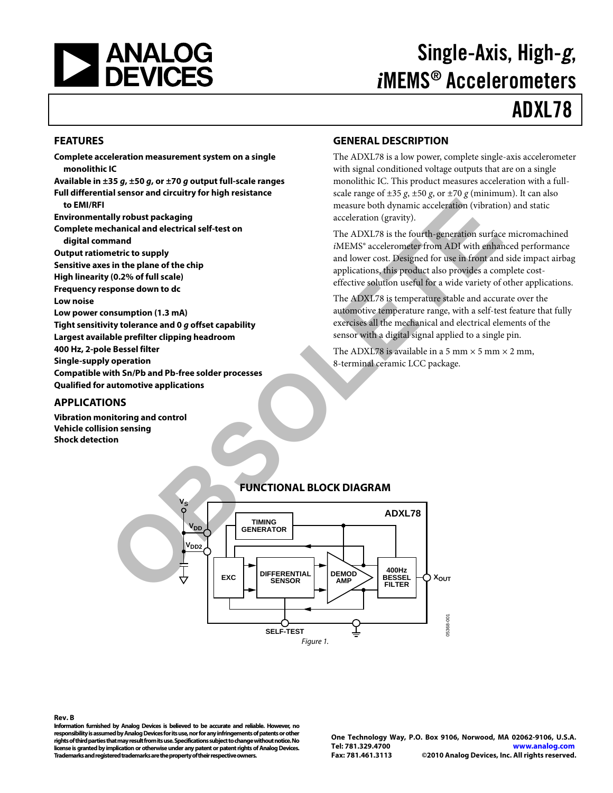<span id="page-0-0"></span>

# Single-Axis, High-g, *i*MEMS® Accelerometers ADXL78

#### **FEATURES**

**Complete acceleration measurement system on a single monolithic IC Available in ±35 g, ±50 g, or ±70 g output full-scale ranges Full differential sensor and circuitry for high resistance to EMI/RFI Environmentally robust packaging Complete mechanical and electrical self-test on digital command Output ratiometric to supply Sensitive axes in the plane of the chip High linearity (0.2% of full scale) Frequency response down to dc Low noise Low power consumption (1.3 mA) Tight sensitivity tolerance and 0 g offset capability Largest available prefilter clipping headroom 400 Hz, 2-pole Bessel filter Single-supply operation Compatible with Sn/Pb and Pb-free solder processes Qualified for automotive applications**  EXPRESS TO THE TRANSFORTION CONTROVERS TO THE TRANSFORTION (CONTROVERS)<br>
THE ADXIS IS the fourth-generation striked in the phase of the chip and the chip and the chip and the chip and the chip and the chip and the chip and

#### **APPLICATIONS**

**Vibration monitoring and control Vehicle collision sensing Shock detection**

#### **GENERAL DESCRIPTION**

The ADXL78 is a low power, complete single-axis accelerometer with signal conditioned voltage outputs that are on a single monolithic IC. This product measures acceleration with a fullscale range of  $\pm 35$  *g*,  $\pm 50$  *g*, or  $\pm 70$  *g* (minimum). It can also measure both dynamic acceleration (vibration) and static acceleration (gravity).

The ADXL78 is the fourth-generation surface micromachined *i*MEMS® accelerometer from ADI with enhanced performance and lower cost. Designed for use in front and side impact airbag applications, this product also provides a complete costeffective solution useful for a wide variety of other applications.

The ADXL78 is temperature stable and accurate over the automotive temperature range, with a self-test feature that fully exercises all the mechanical and electrical elements of the sensor with a digital signal applied to a single pin.

The ADXL78 is available in a 5 mm  $\times$  5 mm  $\times$  2 mm, 8-terminal ceramic LCC package.



#### **FUNCTIONAL BLOCK DIAGRAM**

**Rev. B** 

**Information furnished by Analog Devices is believed to be accurate and reliable. However, no responsibility is assumed by Analog Devices for its use, nor for any infringements of patents or other rights of third parties that may result from its use. Specifications subject to change without notice. No license is granted by implication or otherwise under any patent or patent rights of Analog Devices. Trademarks and registered trademarks are the property of their respective owners.** 

**One Technology Way, P.O. Box 9106, Norwood, MA 02062-9106, U.S.A. Tel: 781.329.4700 www.analog.com Fax: 781.461.3113 ©2010 Analog Devices, Inc. All rights reserved.**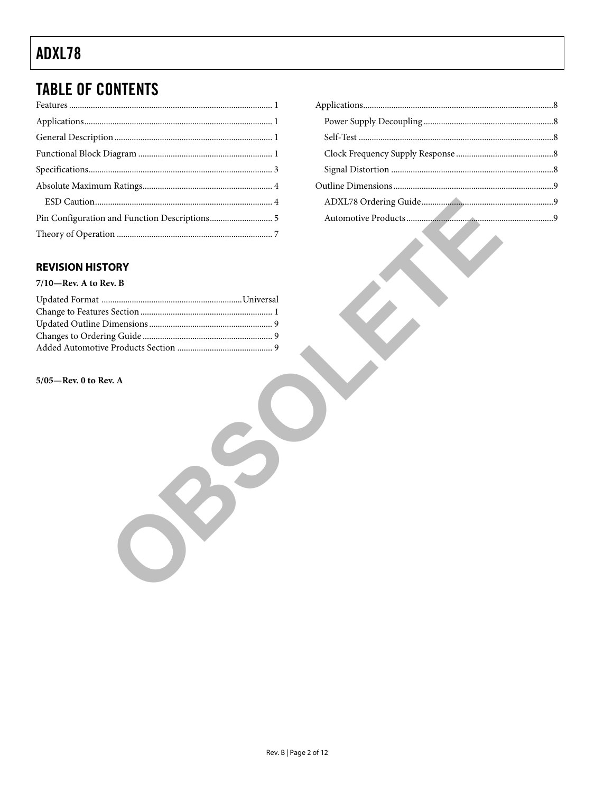# **TABLE OF CONTENTS**

### 

### **REVISION HISTORY**

#### $7/10$ —Rev. A to Rev. B

#### $5/05$ –Rev. 0 to Rev. A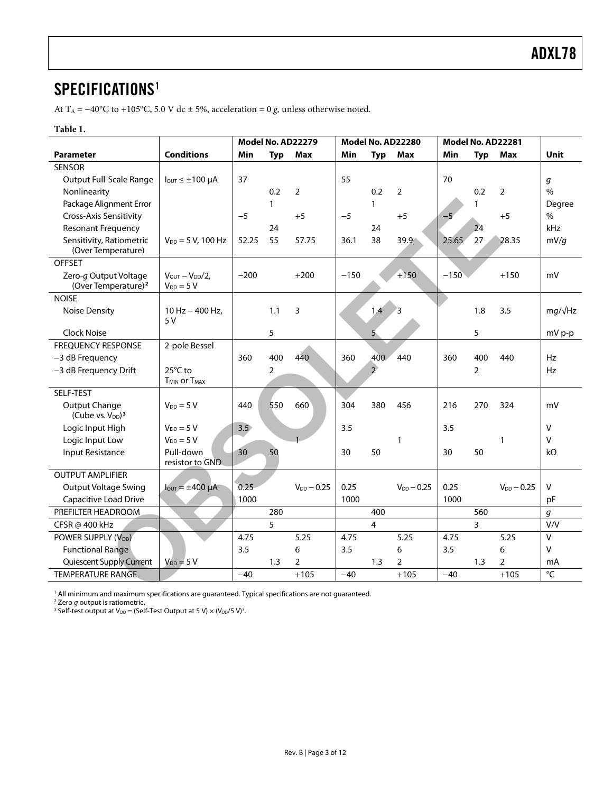### <span id="page-2-0"></span>SPECIFICATIONS<sup>1</sup>

At T<sub>A</sub> = −40°C to +105°C, 5.0 V dc ± 5%, acceleration = 0 *g*, unless otherwise noted.

#### **Table 1.**

|                                                                                                               |                                           |               |              | Model No. AD22279 | Model No. AD22280 |                | Model No. AD22281 |        |                |                 |                 |
|---------------------------------------------------------------------------------------------------------------|-------------------------------------------|---------------|--------------|-------------------|-------------------|----------------|-------------------|--------|----------------|-----------------|-----------------|
| <b>Parameter</b>                                                                                              | <b>Conditions</b>                         | Min           | <b>Typ</b>   | Max               | Min               | <b>Typ</b>     | Max               | Min    | <b>Typ</b>     | <b>Max</b>      | <b>Unit</b>     |
| <b>SENSOR</b>                                                                                                 |                                           |               |              |                   |                   |                |                   |        |                |                 |                 |
| <b>Output Full-Scale Range</b>                                                                                | $I_{\text{OUT}} \leq \pm 100 \ \mu A$     | 37            |              |                   | 55                |                |                   | 70     |                |                 | g               |
| Nonlinearity                                                                                                  |                                           |               | 0.2          | $\overline{2}$    |                   | 0.2            | $\overline{2}$    |        | 0.2            | 2               | $\frac{0}{0}$   |
| Package Alignment Error                                                                                       |                                           |               | $\mathbf{1}$ |                   |                   | 1              |                   |        | 1              |                 | Degree          |
| <b>Cross-Axis Sensitivity</b>                                                                                 |                                           | $-5$          |              | $+5$              | $-5$              |                | $+5$              | $-5$   |                | $+5$            | $\%$            |
| <b>Resonant Frequency</b>                                                                                     |                                           |               | 24           |                   |                   | 24             |                   |        | 24             |                 | kHz             |
| Sensitivity, Ratiometric<br>(Over Temperature)                                                                | $V_{DD} = 5 V$ , 100 Hz                   | 52.25         | 55           | 57.75             | 36.1              | 38             | 39.9              | 25.65  | 27             | 28.35           | mV/q            |
| <b>OFFSET</b>                                                                                                 |                                           |               |              |                   |                   |                |                   |        |                |                 |                 |
| Zero-g Output Voltage<br>(Over Temperature) <sup>2</sup>                                                      | $VOUT - VDD/2$ ,<br>$V_{DD} = 5 V$        | $-200$        |              | $+200$            | $-150$            |                | $+150$            | $-150$ |                | $+150$          | mV              |
| <b>NOISE</b>                                                                                                  |                                           |               |              |                   |                   |                |                   |        |                |                 |                 |
| <b>Noise Density</b>                                                                                          | 10 Hz $-$ 400 Hz,<br>5 V                  |               | 1.1          | 3                 |                   | 1,4            | 3                 |        | 1.8            | 3.5             | $mg/\sqrt{Hz}$  |
| <b>Clock Noise</b>                                                                                            |                                           |               | 5            |                   |                   | 5              |                   |        | 5              |                 | mV p-p          |
| <b>FREQUENCY RESPONSE</b>                                                                                     | 2-pole Bessel                             |               |              |                   |                   |                |                   |        |                |                 |                 |
| -3 dB Frequency                                                                                               |                                           | 360           | 400          | 440               | 360               | 400            | 440               | 360    | 400            | 440             | Hz              |
| -3 dB Frequency Drift                                                                                         | 25°C to<br>$T_{MIN}$ or $T_{MAX}$         |               | 2            |                   |                   | $\overline{2}$ |                   |        | $\overline{2}$ |                 | Hz              |
| SELF-TEST                                                                                                     |                                           |               |              |                   |                   |                |                   |        |                |                 |                 |
| Output Change<br>(Cube vs. V <sub>DD</sub> ) <sup>3</sup>                                                     | $V_{DD} = 5 V$                            | 440           | 550          | 660               | 304               | 380            | 456               | 216    | 270            | 324             | mV              |
| Logic Input High                                                                                              | $V_{DD} = 5 V$                            | $3.5^{\circ}$ |              |                   | 3.5               |                |                   | 3.5    |                |                 | $\vee$          |
| Logic Input Low                                                                                               | $V_{DD} = 5 V$                            |               |              |                   |                   |                | 1                 |        |                | 1               | v               |
| <b>Input Resistance</b>                                                                                       | Pull-down<br>resistor to GND              | 30            | 50           |                   | 30                | 50             |                   | 30     | 50             |                 | $k\Omega$       |
| <b>OUTPUT AMPLIFIER</b>                                                                                       |                                           |               |              |                   |                   |                |                   |        |                |                 |                 |
| <b>Output Voltage Swing</b>                                                                                   | $I_{\text{OUT}} = \pm 400 \ \mu \text{A}$ | 0.25          |              | $V_{DD} - 0.25$   | 0.25              |                | $V_{DD} - 0.25$   | 0.25   |                | $V_{DD} - 0.25$ | V               |
| Capacitive Load Drive                                                                                         |                                           | 1000          |              |                   | 1000              |                |                   | 1000   |                |                 | pF              |
| PREFILTER HEADROOM                                                                                            |                                           |               | 280          |                   |                   | 400            |                   |        | 560            |                 | q               |
| CFSR @ 400 kHz                                                                                                |                                           |               | 5            |                   |                   | 4              |                   |        | 3              |                 | V/V             |
| POWER SUPPLY (V <sub>DD</sub> )                                                                               |                                           | 4.75          |              | 5.25              | 4.75              |                | 5.25              | 4.75   |                | 5.25            | $\vee$          |
| <b>Functional Range</b>                                                                                       |                                           | 3.5           |              | 6                 | 3.5               |                | 6                 | 3.5    |                | 6               | V               |
| Quiescent Supply Current                                                                                      | $V_{DD} = 5 V$                            |               | 1.3          | $\overline{2}$    |                   | 1.3            | $\overline{2}$    |        | 1.3            | $\overline{2}$  | mA              |
| <b>TEMPERATURE RANGE</b>                                                                                      |                                           | $-40$         |              | $+105$            | $-40$             |                | $+105$            | $-40$  |                | $+105$          | $\rm ^{\circ}C$ |
| $\frac{1}{2}$ Ml minimum and maximum specifications are quaranteed. Typical specifications are not quaranteed |                                           |               |              |                   |                   |                |                   |        |                |                 |                 |

<sup>1</sup> All minimum and maximum specifications are guaranteed. Typical specifications are not guaranteed.<br><sup>2</sup> Zero *g* output is ratiometric.<br><sup>3</sup> Self-test output at V<sub>DD</sub> = (Self-Test Output at 5 V) × (V<sub>DD</sub>/5 V)<sup>3</sup>.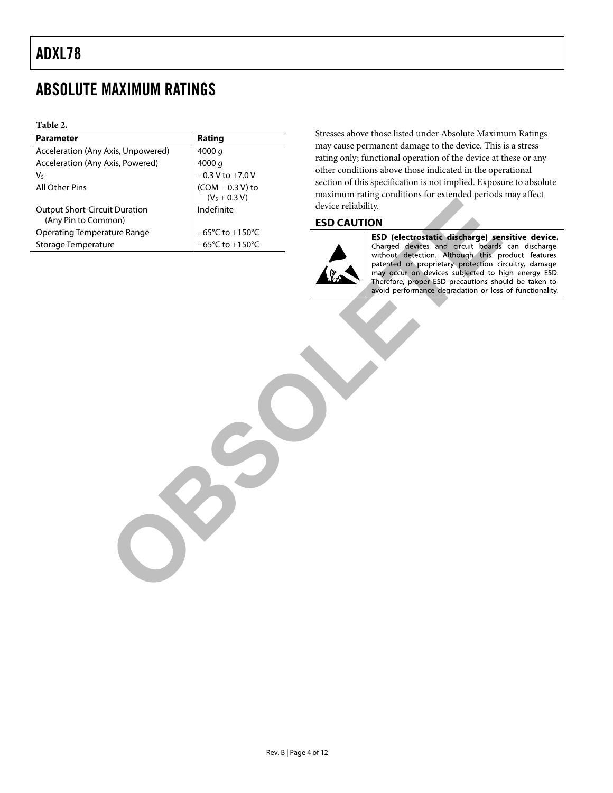## <span id="page-3-0"></span>ABSOLUTE MAXIMUM RATINGS

#### **Table 2.**

| <b>Parameter</b>                                            | Rating                               | Stresses above those listed under Absolute Maxim                                                                      |
|-------------------------------------------------------------|--------------------------------------|-----------------------------------------------------------------------------------------------------------------------|
| Acceleration (Any Axis, Unpowered)                          | 4000 $q$                             | may cause permanent damage to the device. This<br>rating only; functional operation of the device at t                |
| Acceleration (Any Axis, Powered)                            | 4000 $q$                             | other conditions above those indicated in the ope                                                                     |
| V <sub>S</sub>                                              | $-0.3$ V to $+7.0$ V                 | section of this specification is not implied. Exposu                                                                  |
| All Other Pins                                              | $(COM - 0.3 V)$ to                   | maximum rating conditions for extended periods                                                                        |
|                                                             | $(VS + 0.3 V)$                       | device reliability.                                                                                                   |
| <b>Output Short-Circuit Duration</b><br>(Any Pin to Common) | Indefinite                           | <b>ESD CAUTION</b>                                                                                                    |
| <b>Operating Temperature Range</b>                          | $-65^{\circ}$ C to +150 $^{\circ}$ C | ESD (electrostatic discharge) ser                                                                                     |
| Storage Temperature                                         | $-65^{\circ}$ C to +150 $^{\circ}$ C | Charged devices and circuit boards                                                                                    |
|                                                             |                                      | may occur on devices subjected to h<br>Therefore, proper ESD precautions sho<br>avoid performance degradation or loss |

Stresses above those listed under Absolute Maximum Ratings may cause permanent damage to the device. This is a stress rating only; functional operation of the device at these or any other conditions above those indicated in the operational section of this specification is not implied. Exposure to absolute maximum rating conditions for extended periods may affect device reliability.

#### **ESD CAUTION**

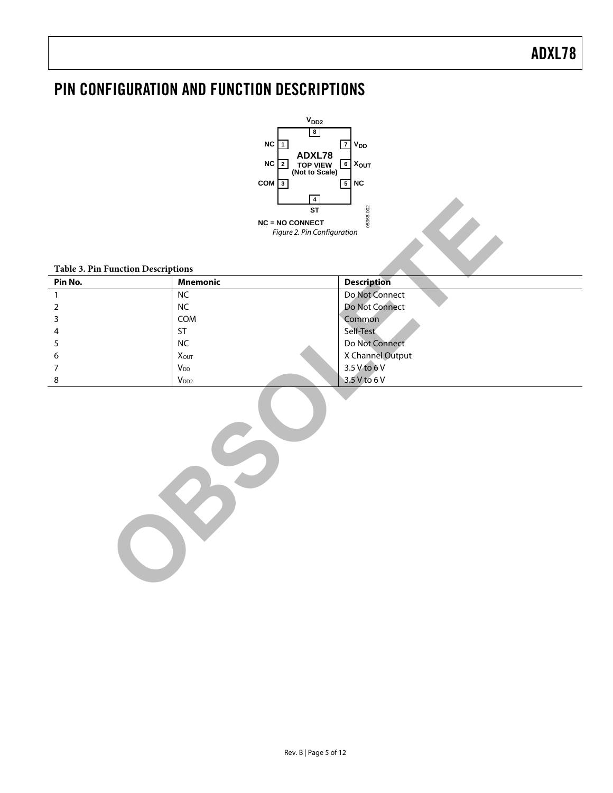## <span id="page-4-0"></span>PIN CONFIGURATION AND FUNCTION DESCRIPTIONS



|                                    | 4                           |                    |
|------------------------------------|-----------------------------|--------------------|
|                                    | <b>ST</b>                   |                    |
|                                    | <b>NC = NO CONNECT</b>      | 05368-002          |
|                                    | Figure 2. Pin Configuration |                    |
|                                    |                             |                    |
|                                    |                             |                    |
| Table 3. Pin Function Descriptions |                             |                    |
| Pin No.                            | <b>Mnemonic</b>             | <b>Description</b> |
| $\mathbf{1}$                       | NC                          | Do Not Connect     |
| $\overline{2}$                     | $\sf NC$                    | Do Not Connect     |
| 3                                  | COM                         | Common             |
| 4                                  | <b>ST</b>                   | Self-Test          |
| 5                                  | NC                          | Do Not Connect     |
| 6                                  | $X_{OUT}$                   | X Channel Output   |
| 7                                  | V <sub>DD</sub>             | 3.5 V to 6 V       |
| 8                                  | $V_{DD2}$                   | 3.5 V to 6 V       |
|                                    |                             |                    |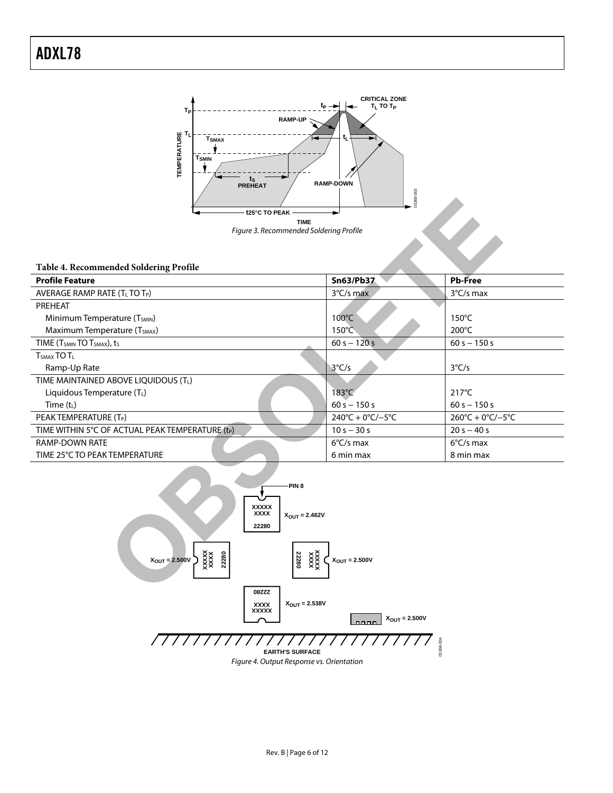

#### **Table 4. Recommended Soldering Profile**

|                                                                      | 05368                                                  |                                         |  |  |  |  |  |  |
|----------------------------------------------------------------------|--------------------------------------------------------|-----------------------------------------|--|--|--|--|--|--|
| t25°C TO PEAK                                                        |                                                        |                                         |  |  |  |  |  |  |
|                                                                      | <b>TIME</b><br>Figure 3. Recommended Soldering Profile |                                         |  |  |  |  |  |  |
|                                                                      |                                                        |                                         |  |  |  |  |  |  |
|                                                                      |                                                        |                                         |  |  |  |  |  |  |
| Table 4. Recommended Soldering Profile                               |                                                        |                                         |  |  |  |  |  |  |
| <b>Profile Feature</b>                                               | Sn63/Pb37                                              | <b>Pb-Free</b>                          |  |  |  |  |  |  |
| AVERAGE RAMP RATE (TL TO TP)                                         | 3°C/s max                                              | 3°C/s max                               |  |  |  |  |  |  |
| PREHEAT                                                              |                                                        |                                         |  |  |  |  |  |  |
| Minimum Temperature (T <sub>SMIN</sub> )                             | 100°C                                                  | 150°C                                   |  |  |  |  |  |  |
| Maximum Temperature (T <sub>SMAX</sub> )                             | $150^{\circ}$ C                                        | 200°C                                   |  |  |  |  |  |  |
| TIME (T <sub>SMIN</sub> TO T <sub>SMAX</sub> ), t <sub>S</sub>       | $60 s - 120 s$                                         | $60 s - 150 s$                          |  |  |  |  |  |  |
| T <sub>SMAX</sub> TO T <sub>L</sub>                                  |                                                        |                                         |  |  |  |  |  |  |
| Ramp-Up Rate                                                         | $3^{\circ}C/s$                                         | $3^{\circ}C/s$                          |  |  |  |  |  |  |
| TIME MAINTAINED ABOVE LIQUIDOUS (TL)                                 |                                                        |                                         |  |  |  |  |  |  |
| Liquidous Temperature (TL)                                           | 183°C                                                  | $217^{\circ}$ C                         |  |  |  |  |  |  |
| Time $(t_L)$                                                         | $60 s - 150 s$                                         | $60 s - 150 s$                          |  |  |  |  |  |  |
| PEAK TEMPERATURE (T <sub>P</sub> )                                   | $240^{\circ}C + 0^{\circ}C/-5^{\circ}C$                | $260^{\circ}C + 0^{\circ}C/-5^{\circ}C$ |  |  |  |  |  |  |
| TIME WITHIN 5°C OF ACTUAL PEAK TEMPERATURE (tP)                      | $10 s - 30 s$                                          | $20 s - 40 s$                           |  |  |  |  |  |  |
| <b>RAMP-DOWN RATE</b>                                                | $6^{\circ}$ C/s max                                    | $6^{\circ}$ C/s max                     |  |  |  |  |  |  |
| TIME 25°C TO PEAK TEMPERATURE                                        | 6 min max                                              | 8 min max                               |  |  |  |  |  |  |
|                                                                      |                                                        |                                         |  |  |  |  |  |  |
| PIN <sub>8</sub>                                                     |                                                        |                                         |  |  |  |  |  |  |
|                                                                      |                                                        |                                         |  |  |  |  |  |  |
| <b>XXXXX</b>                                                         |                                                        |                                         |  |  |  |  |  |  |
| <b>XXXX</b><br>$X_{\text{OUT}} = 2.462V$                             |                                                        |                                         |  |  |  |  |  |  |
| 22280                                                                |                                                        |                                         |  |  |  |  |  |  |
|                                                                      |                                                        |                                         |  |  |  |  |  |  |
| $\frac{3}{2}$<br>22280<br>XXXX<br>22280<br>$X_{\text{OUT}} = 2.500V$ | $X_{\text{OUT}} = 2.500V$                              |                                         |  |  |  |  |  |  |
|                                                                      |                                                        |                                         |  |  |  |  |  |  |
|                                                                      |                                                        |                                         |  |  |  |  |  |  |
| 22280                                                                |                                                        |                                         |  |  |  |  |  |  |

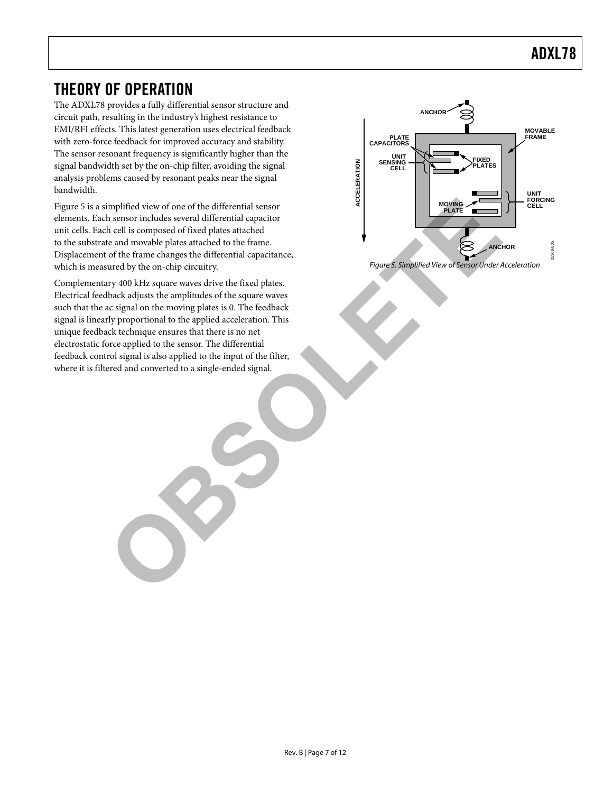### <span id="page-6-0"></span>THEORY OF OPERATION

The ADXL78 provides a fully differential sensor structure and circuit path, resulting in the industry's highest resistance to EMI/RFI effects. This latest generation uses electrical feedback with zero-force feedback for improved accuracy and stability. The sensor resonant frequency is significantly higher than the signal bandwidth set by the on-chip filter, avoiding the signal analysis problems caused by resonant peaks near the signal bandwidth.

<span id="page-6-1"></span>[Figure 5](#page-6-1) is a simplified view of one of the differential sensor elements. Each sensor includes several differential capacitor unit cells. Each cell is composed of fixed plates attached to the substrate and movable plates attached to the frame. Displacement of the frame changes the differential capacitance, which is measured by the on-chip circuitry. The state of Sensor Under Acceleration Figure 5. Simplified View of Sensor Under Acceleration

Complementary 400 kHz square waves drive the fixed plates. Electrical feedback adjusts the amplitudes of the square waves such that the ac signal on the moving plates is 0. The feedback signal is linearly proportional to the applied acceleration. This unique feedback technique ensures that there is no net electrostatic force applied to the sensor. The differential feedback control signal is also applied to the input of the filter, where it is filtered and converted to a single-ended signal. implified view of one of the differential sensor<br>
h cell is composed of fixed plates attached<br>
h cell is composed of fixed plates attached<br>
of the firame changes live differential capacitance,<br>
of the firame changes live d

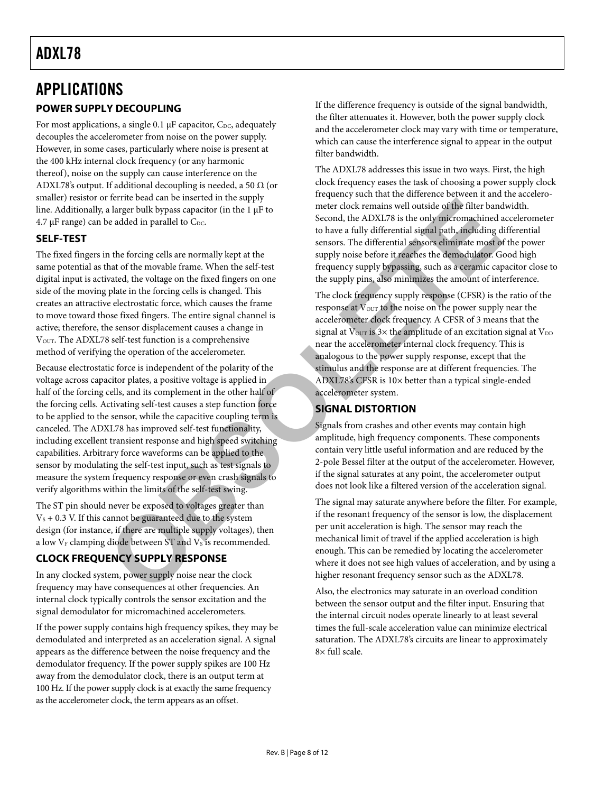### <span id="page-7-0"></span>APPLICATIONS **POWER SUPPLY DECOUPLING**

For most applications, a single 0.1  $\mu$ F capacitor, C<sub>DC</sub>, adequately decouples the accelerometer from noise on the power supply. However, in some cases, particularly where noise is present at the 400 kHz internal clock frequency (or any harmonic thereof), noise on the supply can cause interference on the ADXL78's output. If additional decoupling is needed, a 50  $\Omega$  (or smaller) resistor or ferrite bead can be inserted in the supply line. Additionally, a larger bulk bypass capacitor (in the 1 μF to  $4.7 \mu$ F range) can be added in parallel to C<sub>DC</sub>.

### **SELF-TEST**

The fixed fingers in the forcing cells are normally kept at the same potential as that of the movable frame. When the self-test digital input is activated, the voltage on the fixed fingers on one side of the moving plate in the forcing cells is changed. This creates an attractive electrostatic force, which causes the frame to move toward those fixed fingers. The entire signal channel is active; therefore, the sensor displacement causes a change in V<sub>OUT</sub>. The ADXL78 self-test function is a comprehensive method of verifying the operation of the accelerometer.

Because electrostatic force is independent of the polarity of the voltage across capacitor plates, a positive voltage is applied in half of the forcing cells, and its complement in the other half of the forcing cells. Activating self-test causes a step function force to be applied to the sensor, while the capacitive coupling term is canceled. The ADXL78 has improved self-test functionality, including excellent transient response and high speed switching capabilities. Arbitrary force waveforms can be applied to the sensor by modulating the self-test input, such as test signals to measure the system frequency response or even crash signals to verify algorithms within the limits of the self-test swing. For the other than the supply<br>
and along the state of the filter band and heat of the filter band as larger bulk by<br>axs capacitor (in the 1 pF to<br>
be a deded in parallel to Coc.<br>
Second, the ADX178's sink only interested a

The ST pin should never be exposed to voltages greater than  $V<sub>s</sub> + 0.3$  V. If this cannot be guaranteed due to the system design (for instance, if there are multiple supply voltages), then a low  $V_F$  clamping diode between ST and  $V_S$  is recommended.

### **CLOCK FREQUENCY SUPPLY RESPONSE**

In any clocked system, power supply noise near the clock frequency may have consequences at other frequencies. An internal clock typically controls the sensor excitation and the signal demodulator for micromachined accelerometers.

If the power supply contains high frequency spikes, they may be demodulated and interpreted as an acceleration signal. A signal appears as the difference between the noise frequency and the demodulator frequency. If the power supply spikes are 100 Hz away from the demodulator clock, there is an output term at 100 Hz. If the power supply clock is at exactly the same frequency as the accelerometer clock, the term appears as an offset.

If the difference frequency is outside of the signal bandwidth, the filter attenuates it. However, both the power supply clock and the accelerometer clock may vary with time or temperature, which can cause the interference signal to appear in the output filter bandwidth.

The ADXL78 addresses this issue in two ways. First, the high clock frequency eases the task of choosing a power supply clock frequency such that the difference between it and the accelerometer clock remains well outside of the filter bandwidth. Second, the ADXL78 is the only micromachined accelerometer to have a fully differential signal path, including differential sensors. The differential sensors eliminate most of the power supply noise before it reaches the demodulator. Good high frequency supply bypassing, such as a ceramic capacitor close to the supply pins, also minimizes the amount of interference.

The clock frequency supply response (CFSR) is the ratio of the response at  $V_{\text{OUT}}$  to the noise on the power supply near the accelerometer clock frequency. A CFSR of 3 means that the signal at  $V_{\text{OUT}}$  is  $3\times$  the amplitude of an excitation signal at  $V_{\text{DD}}$ near the accelerometer internal clock frequency. This is analogous to the power supply response, except that the stimulus and the response are at different frequencies. The ADXL78's CFSR is 10× better than a typical single-ended accelerometer system.

### **SIGNAL DISTORTION**

Signals from crashes and other events may contain high amplitude, high frequency components. These components contain very little useful information and are reduced by the 2-pole Bessel filter at the output of the accelerometer. However, if the signal saturates at any point, the accelerometer output does not look like a filtered version of the acceleration signal.

The signal may saturate anywhere before the filter. For example, if the resonant frequency of the sensor is low, the displacement per unit acceleration is high. The sensor may reach the mechanical limit of travel if the applied acceleration is high enough. This can be remedied by locating the accelerometer where it does not see high values of acceleration, and by using a higher resonant frequency sensor such as the ADXL78.

Also, the electronics may saturate in an overload condition between the sensor output and the filter input. Ensuring that the internal circuit nodes operate linearly to at least several times the full-scale acceleration value can minimize electrical saturation. The ADXL78's circuits are linear to approximately 8× full scale.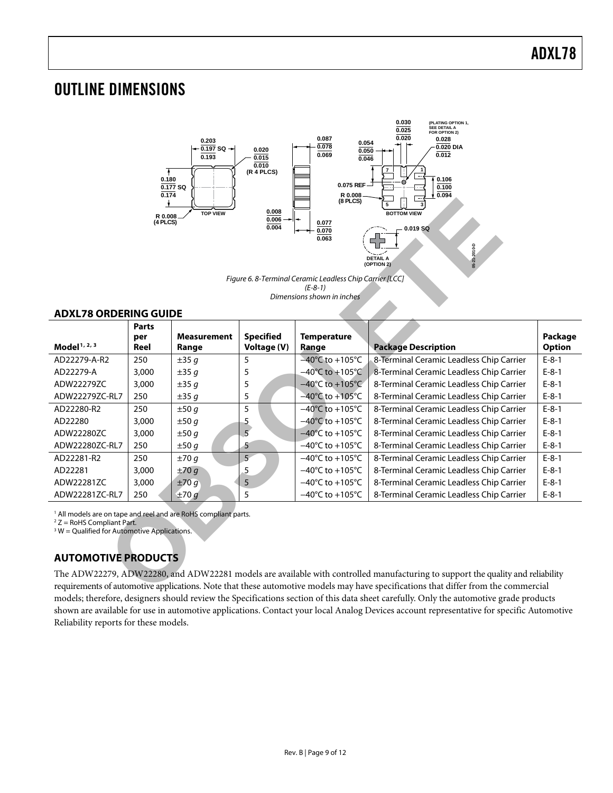### <span id="page-8-0"></span>OUTLINE DIMENSIONS



#### **ADXL78 ORDERING GUIDE**

| $(8$ PLCS)<br>5<br>0.008<br><b>TOP VIEW</b><br><b>BOTTOM VIEW</b><br>R 0.008<br>0.006<br>(4 PLCS)<br>0.077<br>0.004<br>$-0.019 SQ$<br>0.070<br>0.063<br>05-21-2010-D<br><b>DETAIL A</b><br>(OPTION 2)<br>Figure 6. 8-Terminal Ceramic Leadless Chip Carrier [LCC]<br>$(E-8-1)$<br>Dimensions shown in inches<br><b>ADXL78 ORDERING GUIDE</b> |                             |                             |                                 |                                      |                                          |                          |  |  |
|----------------------------------------------------------------------------------------------------------------------------------------------------------------------------------------------------------------------------------------------------------------------------------------------------------------------------------------------|-----------------------------|-----------------------------|---------------------------------|--------------------------------------|------------------------------------------|--------------------------|--|--|
| Model <sup>1, 2, 3</sup>                                                                                                                                                                                                                                                                                                                     | <b>Parts</b><br>per<br>Reel | <b>Measurement</b><br>Range | <b>Specified</b><br>Voltage (V) | <b>Temperature</b><br>Range          | <b>Package Description</b>               | Package<br><b>Option</b> |  |  |
| AD22279-A-R2                                                                                                                                                                                                                                                                                                                                 | 250                         | ±35q                        | 5                               | $-40^{\circ}$ C to +105 $^{\circ}$ C | 8-Terminal Ceramic Leadless Chip Carrier | $E-8-1$                  |  |  |
| AD22279-A                                                                                                                                                                                                                                                                                                                                    | 3,000                       | ±35q                        | 5                               | $-40^{\circ}$ C to $+105^{\circ}$ C  | 8-Terminal Ceramic Leadless Chip Carrier | $E-8-1$                  |  |  |
| ADW22279ZC                                                                                                                                                                                                                                                                                                                                   | 3,000                       | ±35q                        | 5                               | $-40^{\circ}$ C to +105 $^{\circ}$ C | 8-Terminal Ceramic Leadless Chip Carrier | $E-8-1$                  |  |  |
| ADW22279ZC-RL7                                                                                                                                                                                                                                                                                                                               | 250                         | ±35q                        | 5                               | $-40^{\circ}$ C to $+105^{\circ}$ C  | 8-Terminal Ceramic Leadless Chip Carrier | $E-8-1$                  |  |  |
| AD22280-R2                                                                                                                                                                                                                                                                                                                                   | 250                         | ±50q                        | 5                               | $-40^{\circ}$ C to +105 $^{\circ}$ C | 8-Terminal Ceramic Leadless Chip Carrier | $E-8-1$                  |  |  |
| AD22280                                                                                                                                                                                                                                                                                                                                      | 3,000                       | ±50q                        | 5                               | $-40^{\circ}$ C to +105 $^{\circ}$ C | 8-Terminal Ceramic Leadless Chip Carrier | $E-8-1$                  |  |  |
| ADW22280ZC                                                                                                                                                                                                                                                                                                                                   | 3,000                       | ±50 g                       | 5                               | $-40^{\circ}$ C to $+105^{\circ}$ C  | 8-Terminal Ceramic Leadless Chip Carrier | $E-8-1$                  |  |  |
| ADW22280ZC-RL7                                                                                                                                                                                                                                                                                                                               | 250                         | ±50 g                       | 5                               | $-40^{\circ}$ C to +105 $^{\circ}$ C | 8-Terminal Ceramic Leadless Chip Carrier | $E-8-1$                  |  |  |
| AD22281-R2                                                                                                                                                                                                                                                                                                                                   | 250                         | ±70q                        | 5 <sup>2</sup>                  | $-40^{\circ}$ C to $+105^{\circ}$ C  | 8-Terminal Ceramic Leadless Chip Carrier | $E-8-1$                  |  |  |
| AD22281                                                                                                                                                                                                                                                                                                                                      | 3,000                       | ±70g                        | 5                               | $-40^{\circ}$ C to $+105^{\circ}$ C  | 8-Terminal Ceramic Leadless Chip Carrier | $E-8-1$                  |  |  |
| ADW22281ZC                                                                                                                                                                                                                                                                                                                                   | 3,000                       | ±70q                        | 5                               | $-40^{\circ}$ C to $+105^{\circ}$ C  | 8-Terminal Ceramic Leadless Chip Carrier | $E-8-1$                  |  |  |
| ADW22281ZC-RL7                                                                                                                                                                                                                                                                                                                               | 250                         | ±70g                        | 5                               | $-40^{\circ}$ C to +105 $^{\circ}$ C | 8-Terminal Ceramic Leadless Chip Carrier | $E-8-1$                  |  |  |
| <sup>1</sup> All models are on tape and reel and are RoHS compliant parts.<br>$2 Z =$ RoHS Compliant Part.<br>$3 W =$ Qualified for Automotive Applications.<br><b>AUTOMOTIVE PRODUCTS</b><br>The ADW22279, ADW22280, and ADW22281 models are available with controlled manufacturing to support the quality and reliability                 |                             |                             |                                 |                                      |                                          |                          |  |  |
| requirements of automotive applications. Note that these automotive models may have specifications that differ from the commercial                                                                                                                                                                                                           |                             |                             |                                 |                                      |                                          |                          |  |  |

### **AUTOMOTIVE PRODUCTS**

The ADW22279, ADW22280, and ADW22281 models are available with controlled manufacturing to support the quality and reliability requirements of automotive applications. Note that these automotive models may have specifications that differ from the commercial models; therefore, designers should review the Specifications section of this data sheet carefully. Only the automotive grade products shown are available for use in automotive applications. Contact your local Analog Devices account representative for specific Automotive Reliability reports for these models.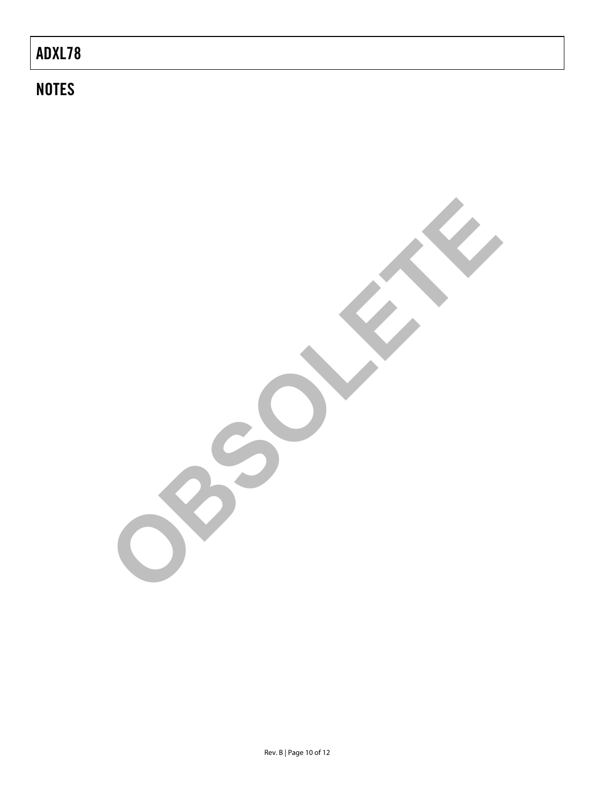# **NOTES**

**OBSOLETE**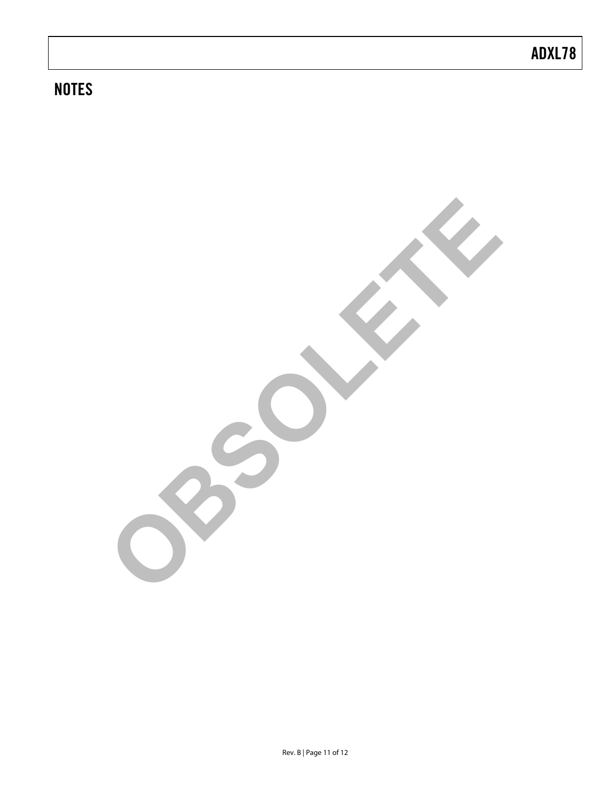# **NOTES**

**OBSOLETE**